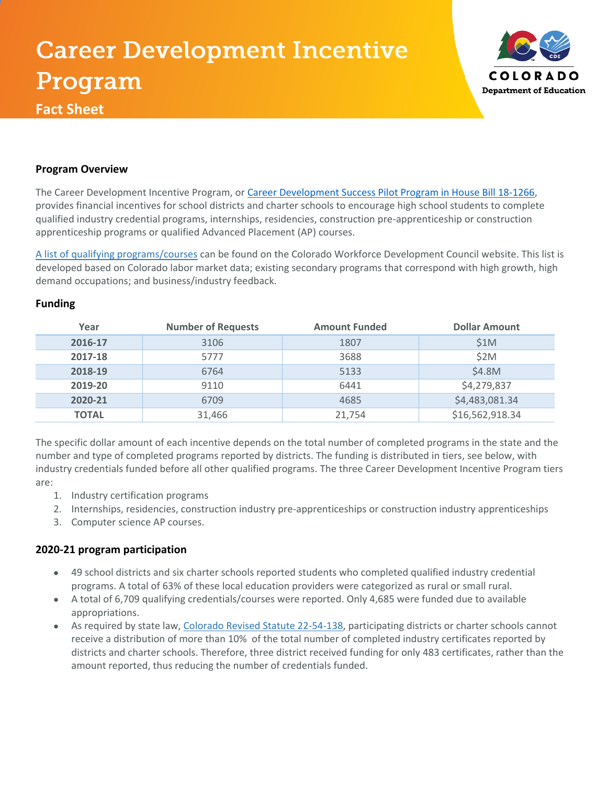# **Career Development Incentive** Program



**Fact Sheet**

## **Program Overview**

The Career Development Incentive Program, o[r Career Development Success Pilot Program in House Bill](https://leg.colorado.gov/sites/default/files/2018a_1266_signed.pdf) 18-1266, provides financial incentives for school districts and charter schools to encourage high school students to complete qualified industry credential programs, internships, residencies, construction pre-apprenticeship or construction apprenticeship programs or qualified Advanced Placement (AP) courses.

[A list of qualifying programs/courses](https://public.tableau.com/profile/dhe.state#!/vizhome/CareerDevelopmentIncentiveProgramApprovedProgramsList2020-2021/2019CDIPList) can be found on the Colorado Workforce Development Council website. This list is developed based on Colorado labor market data; existing secondary programs that correspond with high growth, high demand occupations; and business/industry feedback.

### **Funding**

| Year         | <b>Number of Requests</b> | <b>Amount Funded</b> | <b>Dollar Amount</b> |  |
|--------------|---------------------------|----------------------|----------------------|--|
| 2016-17      | 3106                      | 1807                 | \$1M                 |  |
| 2017-18      | 5777                      | 3688                 | \$2M                 |  |
| 2018-19      | 6764                      | 5133                 | \$4.8M               |  |
| 2019-20      | 9110                      | 6441                 | \$4,279,837          |  |
| 2020-21      | 6709                      | 4685                 | \$4,483,081.34       |  |
| <b>TOTAL</b> | 31,466                    | 21,754               | \$16,562,918.34      |  |

The specific dollar amount of each incentive depends on the total number of completed programs in the state and the number and type of completed programs reported by districts. The funding is distributed in tiers, see below, with industry credentials funded before all other qualified programs. The three Career Development Incentive Program tiers are:

- 1. Industry certification programs
- 2. Internships, residencies, construction industry pre-apprenticeships or construction industry apprenticeships
- 3. Computer science AP courses.

## **2020-21 program participation**

- 49 school districts and six charter schools reported students who completed qualified industry credential programs. A total of 63% of these local education providers were categorized as rural or small rural.
- A total of 6,709 qualifying credentials/courses were reported. Only 4,685 were funded due to available appropriations.
- As required by state law, [Colorado Revised Statute 22-54-138,](https://leg.colorado.gov/sites/default/files/documents/2018A/bills/2018a_1266_signed.pdf) participating districts or charter schools cannot receive a distribution of more than 10% of the total number of completed industry certificates reported by districts and charter schools. Therefore, three district received funding for only 483 certificates, rather than the amount reported, thus reducing the number of credentials funded.